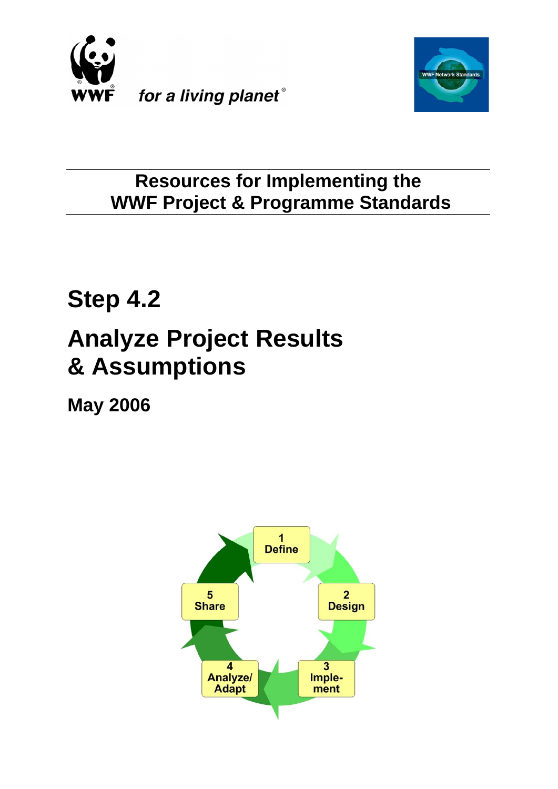



# **Resources for Implementing the WWF Project & Programme Standards**

# **Step 4.2 Analyze Project Results & Assumptions**

**May 2006**

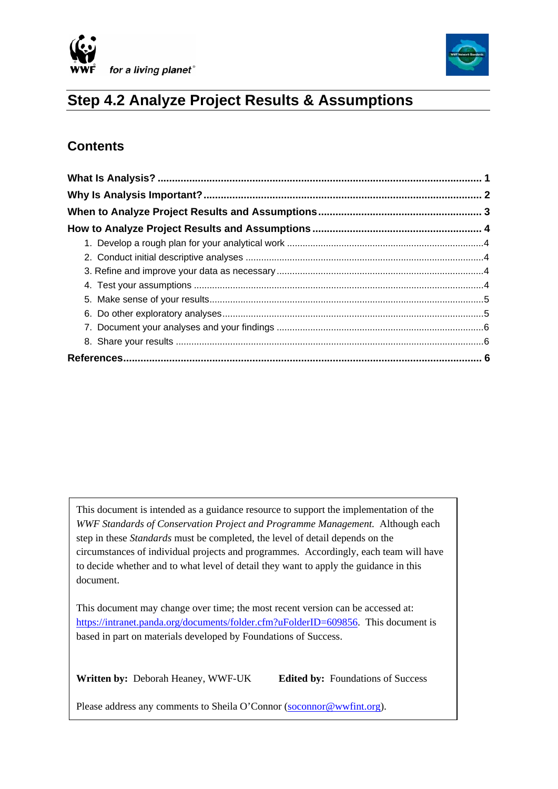



## **Step 4.2 Analyze Project Results & Assumptions**

### **Contents**

 $\overline{\phantom{a}}$ 

This document is intended as a guidance resource to support the implementation of the *WWF Standards of Conservation Project and Programme Management.* Although each step in these *Standards* must be completed, the level of detail depends on the circumstances of individual projects and programmes. Accordingly, each team will have to decide whether and to what level of detail they want to apply the guidance in this document.

This document may change over time; the most recent version can be accessed at: [https://intranet.panda.org/documents/folder.cfm?uFolderID=609856.](https://intranet.panda.org/documents/folder.cfm?uFolderID=609856) This document is based in part on materials developed by Foundations of Success.

**Written by:** Deborah Heaney, WWF-UK **Edited by:** Foundations of Success

Please address any comments to Sheila O'Connor [\(soconnor@wwfint.org](mailto:soconnor@wwfint.org)).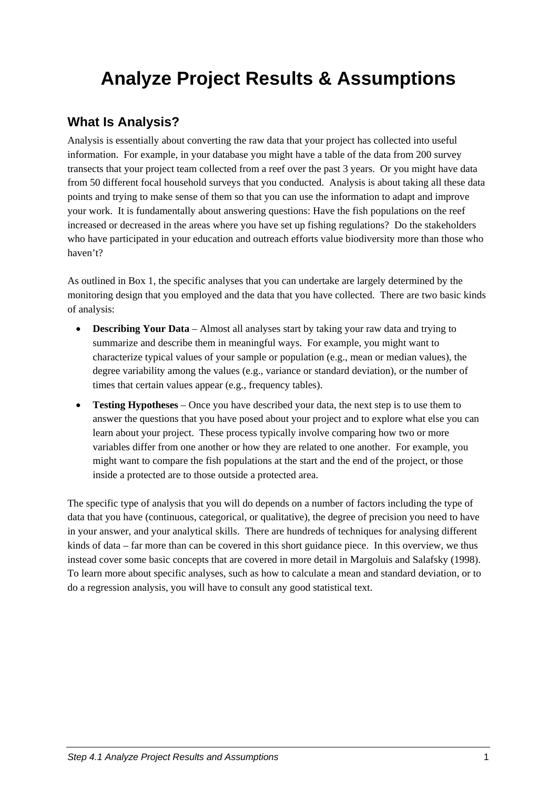# <span id="page-2-0"></span>**Analyze Project Results & Assumptions**

#### **What Is Analysis?**

Analysis is essentially about converting the raw data that your project has collected into useful information. For example, in your database you might have a table of the data from 200 survey transects that your project team collected from a reef over the past 3 years. Or you might have data from 50 different focal household surveys that you conducted. Analysis is about taking all these data points and trying to make sense of them so that you can use the information to adapt and improve your work. It is fundamentally about answering questions: Have the fish populations on the reef increased or decreased in the areas where you have set up fishing regulations? Do the stakeholders who have participated in your education and outreach efforts value biodiversity more than those who haven't?

As outlined in Box 1, the specific analyses that you can undertake are largely determined by the monitoring design that you employed and the data that you have collected. There are two basic kinds of analysis:

- **Describing Your Data** Almost all analyses start by taking your raw data and trying to summarize and describe them in meaningful ways. For example, you might want to characterize typical values of your sample or population (e.g., mean or median values), the degree variability among the values (e.g., variance or standard deviation), or the number of times that certain values appear (e.g., frequency tables).
- **Testing Hypotheses** Once you have described your data, the next step is to use them to answer the questions that you have posed about your project and to explore what else you can learn about your project. These process typically involve comparing how two or more variables differ from one another or how they are related to one another. For example, you might want to compare the fish populations at the start and the end of the project, or those inside a protected are to those outside a protected area.

The specific type of analysis that you will do depends on a number of factors including the type of data that you have (continuous, categorical, or qualitative), the degree of precision you need to have in your answer, and your analytical skills. There are hundreds of techniques for analysing different kinds of data – far more than can be covered in this short guidance piece. In this overview, we thus instead cover some basic concepts that are covered in more detail in Margoluis and Salafsky (1998). To learn more about specific analyses, such as how to calculate a mean and standard deviation, or to do a regression analysis, you will have to consult any good statistical text.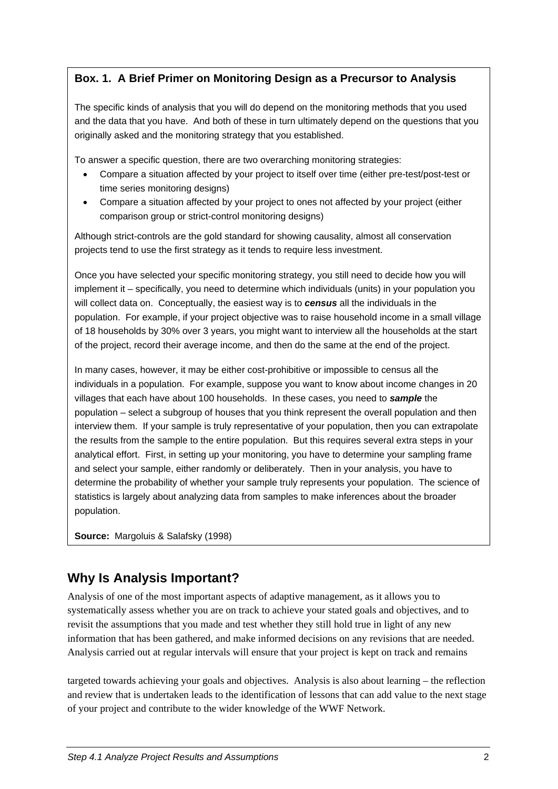#### <span id="page-3-0"></span>**Box. 1. A Brief Primer on Monitoring Design as a Precursor to Analysis**

The specific kinds of analysis that you will do depend on the monitoring methods that you used and the data that you have. And both of these in turn ultimately depend on the questions that you originally asked and the monitoring strategy that you established.

To answer a specific question, there are two overarching monitoring strategies:

- Compare a situation affected by your project to itself over time (either pre-test/post-test or time series monitoring designs)
- Compare a situation affected by your project to ones not affected by your project (either comparison group or strict-control monitoring designs)

Although strict-controls are the gold standard for showing causality, almost all conservation projects tend to use the first strategy as it tends to require less investment.

Once you have selected your specific monitoring strategy, you still need to decide how you will implement it – specifically, you need to determine which individuals (units) in your population you will collect data on. Conceptually, the easiest way is to *census* all the individuals in the population. For example, if your project objective was to raise household income in a small village of 18 households by 30% over 3 years, you might want to interview all the households at the start of the project, record their average income, and then do the same at the end of the project.

In many cases, however, it may be either cost-prohibitive or impossible to census all the individuals in a population. For example, suppose you want to know about income changes in 20 villages that each have about 100 households. In these cases, you need to *sample* the population – select a subgroup of houses that you think represent the overall population and then interview them. If your sample is truly representative of your population, then you can extrapolate the results from the sample to the entire population. But this requires several extra steps in your analytical effort. First, in setting up your monitoring, you have to determine your sampling frame and select your sample, either randomly or deliberately. Then in your analysis, you have to determine the probability of whether your sample truly represents your population. The science of statistics is largely about analyzing data from samples to make inferences about the broader population.

**Source:** Margoluis & Salafsky (1998)

## **Why Is Analysis Important?**

Analysis of one of the most important aspects of adaptive management, as it allows you to systematically assess whether you are on track to achieve your stated goals and objectives, and to revisit the assumptions that you made and test whether they still hold true in light of any new information that has been gathered, and make informed decisions on any revisions that are needed. Analysis carried out at regular intervals will ensure that your project is kept on track and remains

targeted towards achieving your goals and objectives. Analysis is also about learning – the reflection and review that is undertaken leads to the identification of lessons that can add value to the next stage of your project and contribute to the wider knowledge of the WWF Network.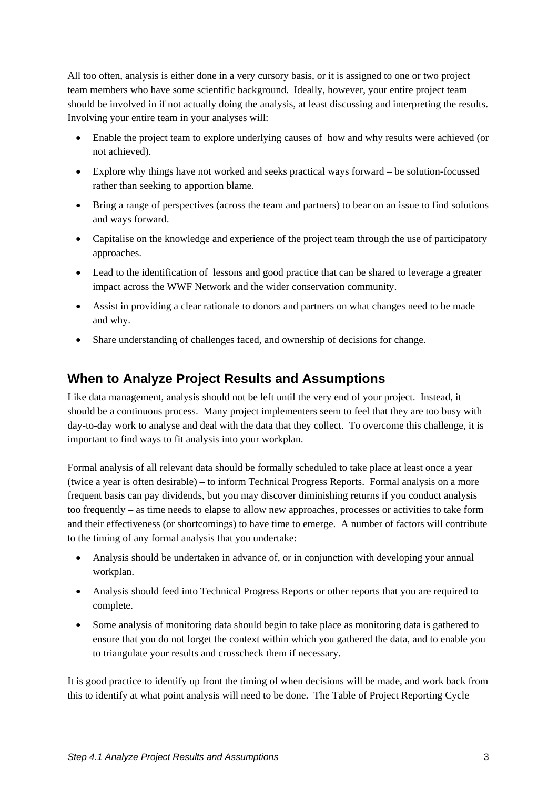<span id="page-4-0"></span>All too often, analysis is either done in a very cursory basis, or it is assigned to one or two project team members who have some scientific background. Ideally, however, your entire project team should be involved in if not actually doing the analysis, at least discussing and interpreting the results. Involving your entire team in your analyses will:

- Enable the project team to explore underlying causes of how and why results were achieved (or not achieved).
- Explore why things have not worked and seeks practical ways forward be solution-focussed rather than seeking to apportion blame.
- Bring a range of perspectives (across the team and partners) to bear on an issue to find solutions and ways forward.
- Capitalise on the knowledge and experience of the project team through the use of participatory approaches.
- Lead to the identification of lessons and good practice that can be shared to leverage a greater impact across the WWF Network and the wider conservation community.
- Assist in providing a clear rationale to donors and partners on what changes need to be made and why.
- Share understanding of challenges faced, and ownership of decisions for change.

#### **When to Analyze Project Results and Assumptions**

Like data management, analysis should not be left until the very end of your project. Instead, it should be a continuous process. Many project implementers seem to feel that they are too busy with day-to-day work to analyse and deal with the data that they collect. To overcome this challenge, it is important to find ways to fit analysis into your workplan.

Formal analysis of all relevant data should be formally scheduled to take place at least once a year (twice a year is often desirable) – to inform Technical Progress Reports. Formal analysis on a more frequent basis can pay dividends, but you may discover diminishing returns if you conduct analysis too frequently – as time needs to elapse to allow new approaches, processes or activities to take form and their effectiveness (or shortcomings) to have time to emerge. A number of factors will contribute to the timing of any formal analysis that you undertake:

- Analysis should be undertaken in advance of, or in conjunction with developing your annual workplan.
- Analysis should feed into Technical Progress Reports or other reports that you are required to complete.
- Some analysis of monitoring data should begin to take place as monitoring data is gathered to ensure that you do not forget the context within which you gathered the data, and to enable you to triangulate your results and crosscheck them if necessary.

It is good practice to identify up front the timing of when decisions will be made, and work back from this to identify at what point analysis will need to be done. The Table of Project Reporting Cycle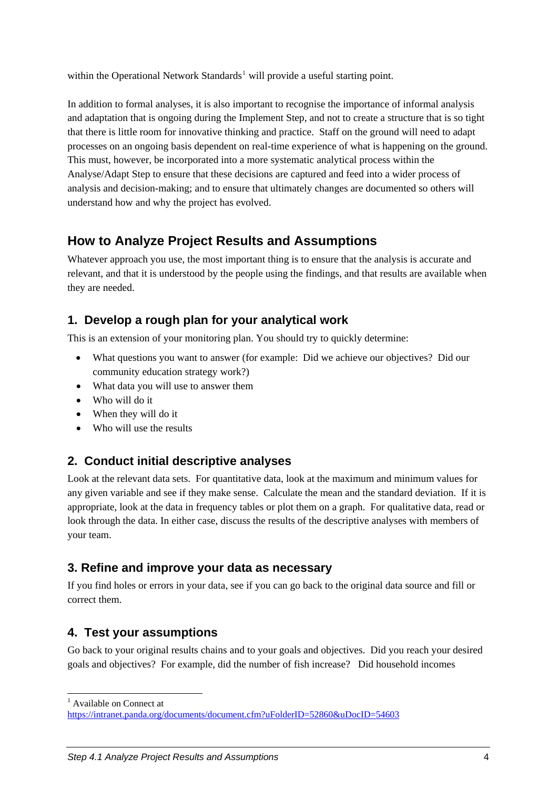<span id="page-5-0"></span>within the Operational Network Standards<sup>[1](#page-5-1)</sup> will provide a useful starting point.

In addition to formal analyses, it is also important to recognise the importance of informal analysis and adaptation that is ongoing during the Implement Step, and not to create a structure that is so tight that there is little room for innovative thinking and practice. Staff on the ground will need to adapt processes on an ongoing basis dependent on real-time experience of what is happening on the ground. This must, however, be incorporated into a more systematic analytical process within the Analyse/Adapt Step to ensure that these decisions are captured and feed into a wider process of analysis and decision-making; and to ensure that ultimately changes are documented so others will understand how and why the project has evolved.

#### **How to Analyze Project Results and Assumptions**

Whatever approach you use, the most important thing is to ensure that the analysis is accurate and relevant, and that it is understood by the people using the findings, and that results are available when they are needed.

#### **1. Develop a rough plan for your analytical work**

This is an extension of your monitoring plan. You should try to quickly determine:

- What questions you want to answer (for example: Did we achieve our objectives? Did our community education strategy work?)
- What data you will use to answer them
- Who will do it
- When they will do it
- Who will use the results

#### **2. Conduct initial descriptive analyses**

Look at the relevant data sets. For quantitative data, look at the maximum and minimum values for any given variable and see if they make sense. Calculate the mean and the standard deviation. If it is appropriate, look at the data in frequency tables or plot them on a graph. For qualitative data, read or look through the data. In either case, discuss the results of the descriptive analyses with members of your team.

#### **3. Refine and improve your data as necessary**

If you find holes or errors in your data, see if you can go back to the original data source and fill or correct them.

#### **4. Test your assumptions**

Go back to your original results chains and to your goals and objectives. Did you reach your desired goals and objectives? For example, did the number of fish increase? Did household incomes

1 <sup>1</sup> Available on Connect at

<span id="page-5-1"></span><https://intranet.panda.org/documents/document.cfm?uFolderID=52860&uDocID=54603>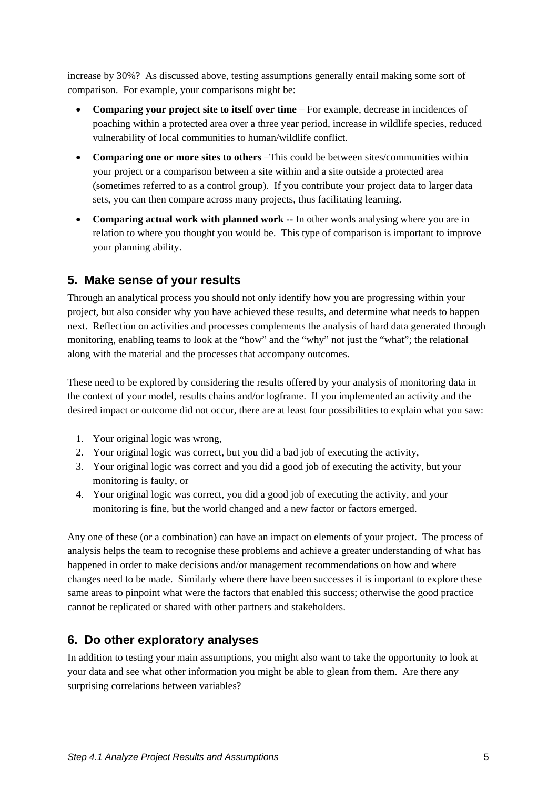<span id="page-6-0"></span>increase by 30%? As discussed above, testing assumptions generally entail making some sort of comparison. For example, your comparisons might be:

- **Comparing your project site to itself over time** For example, decrease in incidences of poaching within a protected area over a three year period, increase in wildlife species, reduced vulnerability of local communities to human/wildlife conflict.
- **Comparing one or more sites to others** –This could be between sites/communities within your project or a comparison between a site within and a site outside a protected area (sometimes referred to as a control group). If you contribute your project data to larger data sets, you can then compare across many projects, thus facilitating learning.
- **Comparing actual work with planned work --** In other words analysing where you are in relation to where you thought you would be. This type of comparison is important to improve your planning ability.

#### **5. Make sense of your results**

Through an analytical process you should not only identify how you are progressing within your project, but also consider why you have achieved these results, and determine what needs to happen next. Reflection on activities and processes complements the analysis of hard data generated through monitoring, enabling teams to look at the "how" and the "why" not just the "what"; the relational along with the material and the processes that accompany outcomes.

These need to be explored by considering the results offered by your analysis of monitoring data in the context of your model, results chains and/or logframe. If you implemented an activity and the desired impact or outcome did not occur, there are at least four possibilities to explain what you saw:

- 1. Your original logic was wrong,
- 2. Your original logic was correct, but you did a bad job of executing the activity,
- 3. Your original logic was correct and you did a good job of executing the activity, but your monitoring is faulty, or
- 4. Your original logic was correct, you did a good job of executing the activity, and your monitoring is fine, but the world changed and a new factor or factors emerged.

Any one of these (or a combination) can have an impact on elements of your project. The process of analysis helps the team to recognise these problems and achieve a greater understanding of what has happened in order to make decisions and/or management recommendations on how and where changes need to be made. Similarly where there have been successes it is important to explore these same areas to pinpoint what were the factors that enabled this success; otherwise the good practice cannot be replicated or shared with other partners and stakeholders.

#### **6. Do other exploratory analyses**

In addition to testing your main assumptions, you might also want to take the opportunity to look at your data and see what other information you might be able to glean from them. Are there any surprising correlations between variables?